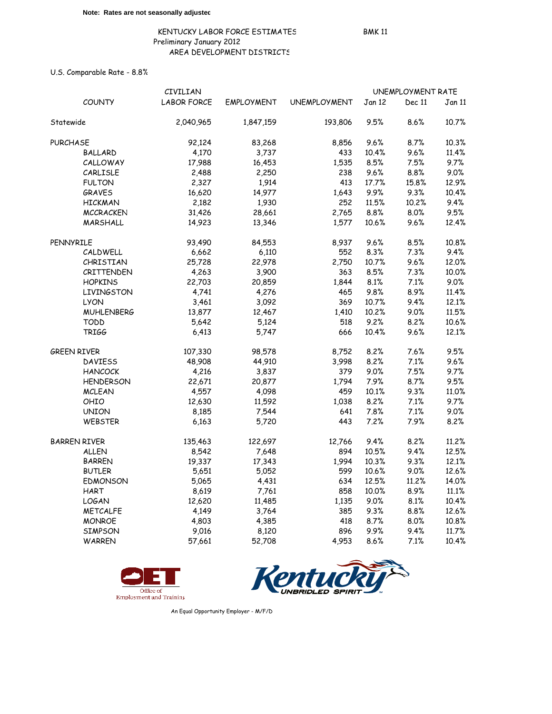U.S. Comparable Rate - 8.8%

|                     | CIVILIAN           |                   |                     | UNEMPLOYMENT RATE |         |               |  |
|---------------------|--------------------|-------------------|---------------------|-------------------|---------|---------------|--|
| <b>COUNTY</b>       | <b>LABOR FORCE</b> | <b>EMPLOYMENT</b> | <b>UNEMPLOYMENT</b> | Jan 12            | Dec 11  | <b>Jan 11</b> |  |
| Statewide           | 2,040,965          | 1,847,159         | 193,806             | 9.5%              | $8.6\%$ | 10.7%         |  |
| <b>PURCHASE</b>     | 92,124             | 83,268            | 8,856               | 9.6%              | 8.7%    | 10.3%         |  |
| <b>BALLARD</b>      | 4,170              | 3,737             | 433                 | 10.4%             | 9.6%    | 11.4%         |  |
| CALLOWAY            | 17,988             | 16,453            | 1,535               | 8.5%              | 7.5%    | 9.7%          |  |
| CARLISLE            | 2,488              | 2,250             | 238                 | 9.6%              | 8.8%    | 9.0%          |  |
| <b>FULTON</b>       | 2,327              | 1,914             | 413                 | 17.7%             | 15.8%   | 12.9%         |  |
| <b>GRAVES</b>       | 16,620             | 14,977            | 1,643               | 9.9%              | 9.3%    | 10.4%         |  |
| <b>HICKMAN</b>      | 2,182              | 1,930             | 252                 | 11.5%             | 10.2%   | 9.4%          |  |
| <b>MCCRACKEN</b>    | 31,426             | 28,661            | 2,765               | 8.8%              | 8.0%    | 9.5%          |  |
| MARSHALL            | 14,923             | 13,346            | 1,577               | 10.6%             | 9.6%    | 12.4%         |  |
| PENNYRILE           | 93,490             | 84,553            | 8,937               | 9.6%              | 8.5%    | 10.8%         |  |
| CALDWELL            | 6,662              | 6,110             | 552                 | 8.3%              | 7.3%    | 9.4%          |  |
| CHRISTIAN           | 25,728             | 22,978            | 2,750               | 10.7%             | 9.6%    | 12.0%         |  |
| CRITTENDEN          | 4,263              | 3,900             | 363                 | 8.5%              | 7.3%    | 10.0%         |  |
| <b>HOPKINS</b>      | 22,703             | 20,859            | 1,844               | 8.1%              | 7.1%    | 9.0%          |  |
| <b>LIVINGSTON</b>   | 4,741              | 4,276             | 465                 | 9.8%              | 8.9%    | 11.4%         |  |
| <b>LYON</b>         | 3,461              | 3,092             | 369                 | 10.7%             | 9.4%    | 12.1%         |  |
| <b>MUHLENBERG</b>   | 13,877             | 12,467            | 1,410               | 10.2%             | 9.0%    | 11.5%         |  |
| <b>TODD</b>         | 5,642              | 5,124             | 518                 | 9.2%              | 8.2%    | 10.6%         |  |
| TRIGG               | 6,413              | 5,747             | 666                 | 10.4%             | 9.6%    | 12.1%         |  |
| <b>GREEN RIVER</b>  | 107,330            | 98,578            | 8,752               | 8.2%              | 7.6%    | 9.5%          |  |
| <b>DAVIESS</b>      | 48,908             | 44,910            | 3,998               | 8.2%              | 7.1%    | 9.6%          |  |
| <b>HANCOCK</b>      | 4,216              | 3,837             | 379                 | 9.0%              | 7.5%    | 9.7%          |  |
| <b>HENDERSON</b>    | 22,671             | 20,877            | 1,794               | 7.9%              | 8.7%    | 9.5%          |  |
| <b>MCLEAN</b>       | 4,557              | 4,098             | 459                 | 10.1%             | 9.3%    | 11.0%         |  |
| OHIO                | 12,630             | 11,592            | 1,038               | 8.2%              | 7.1%    | 9.7%          |  |
| <b>UNION</b>        | 8,185              | 7,544             | 641                 | 7.8%              | 7.1%    | 9.0%          |  |
| WEBSTER             | 6,163              | 5,720             | 443                 | 7.2%              | 7.9%    | 8.2%          |  |
| <b>BARREN RIVER</b> | 135,463            | 122,697           | 12,766              | 9.4%              | 8.2%    | 11.2%         |  |
| <b>ALLEN</b>        | 8,542              | 7,648             | 894                 | 10.5%             | 9.4%    | 12.5%         |  |
| <b>BARREN</b>       | 19,337             | 17,343            | 1,994               | 10.3%             | 9.3%    | 12.1%         |  |
| <b>BUTLER</b>       | 5,651              | 5,052             | 599                 | 10.6%             | 9.0%    | 12.6%         |  |
| <b>EDMONSON</b>     | 5,065              | 4,431             | 634                 | 12.5%             | 11.2%   | 14.0%         |  |
| <b>HART</b>         | 8,619              | 7,761             | 858                 | 10.0%             | 8.9%    | 11.1%         |  |
| <b>LOGAN</b>        | 12,620             | 11,485            | 1,135               | 9.0%              | 8.1%    | 10.4%         |  |
| <b>METCALFE</b>     | 4,149              | 3,764             | 385                 | 9.3%              | 8.8%    | 12.6%         |  |
| <b>MONROE</b>       | 4,803              | 4,385             | 418                 | 8.7%              | 8.0%    | 10.8%         |  |
| <b>SIMPSON</b>      | 9,016              | 8,120             | 896                 | 9.9%              | 9.4%    | 11.7%         |  |
| <b>WARREN</b>       | 57,661             | 52,708            | 4,953               | 8.6%              | 7.1%    | 10.4%         |  |





An Equal Opportunity Employer - M/F/D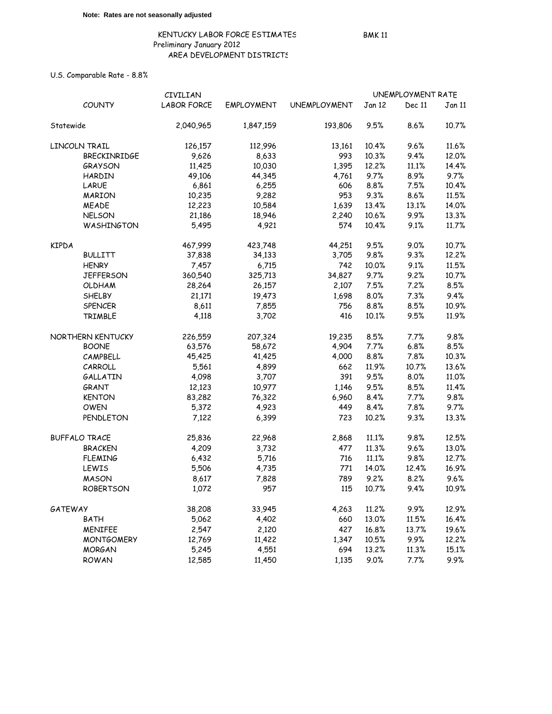U.S. Comparable Rate - 8.8%

|                | CIVILIAN             |                    |                   |                     | UNEMPLOYMENT RATE |        |        |
|----------------|----------------------|--------------------|-------------------|---------------------|-------------------|--------|--------|
|                | <b>COUNTY</b>        | <b>LABOR FORCE</b> | <b>EMPLOYMENT</b> | <b>UNEMPLOYMENT</b> | Jan 12            | Dec 11 | Jan 11 |
| Statewide      |                      | 2,040,965          | 1,847,159         | 193,806             | 9.5%              | 8.6%   | 10.7%  |
|                | LINCOLN TRAIL        | 126,157            | 112,996           | 13,161              | 10.4%             | 9.6%   | 11.6%  |
|                | <b>BRECKINRIDGE</b>  | 9,626              | 8,633             | 993                 | 10.3%             | 9.4%   | 12.0%  |
|                | <b>GRAYSON</b>       | 11,425             | 10,030            | 1,395               | 12.2%             | 11.1%  | 14.4%  |
|                | HARDIN               | 49,106             | 44,345            | 4,761               | 9.7%              | 8.9%   | 9.7%   |
|                | LARUE                | 6,861              | 6,255             | 606                 | 8.8%              | 7.5%   | 10.4%  |
|                | <b>MARION</b>        | 10,235             | 9,282             | 953                 | 9.3%              | 8.6%   | 11.5%  |
|                | <b>MEADE</b>         | 12,223             | 10,584            | 1,639               | 13.4%             | 13.1%  | 14.0%  |
|                | <b>NELSON</b>        | 21,186             | 18,946            | 2,240               | 10.6%             | 9.9%   | 13.3%  |
|                | WASHINGTON           | 5,495              | 4,921             | 574                 | 10.4%             | 9.1%   | 11.7%  |
| <b>KIPDA</b>   |                      | 467,999            | 423,748           | 44,251              | 9.5%              | 9.0%   | 10.7%  |
|                | <b>BULLITT</b>       | 37,838             | 34,133            | 3,705               | 9.8%              | 9.3%   | 12.2%  |
|                | <b>HENRY</b>         | 7,457              | 6,715             | 742                 | 10.0%             | 9.1%   | 11.5%  |
|                | <b>JEFFERSON</b>     | 360,540            | 325,713           | 34,827              | 9.7%              | 9.2%   | 10.7%  |
|                | <b>OLDHAM</b>        | 28,264             | 26,157            | 2,107               | 7.5%              | 7.2%   | 8.5%   |
|                | <b>SHELBY</b>        | 21,171             | 19,473            | 1,698               | 8.0%              | 7.3%   | 9.4%   |
|                | <b>SPENCER</b>       | 8,611              | 7,855             | 756                 | 8.8%              | 8.5%   | 10.9%  |
|                | TRIMBLE              | 4,118              | 3,702             | 416                 | 10.1%             | 9.5%   | 11.9%  |
|                | NORTHERN KENTUCKY    | 226,559            | 207,324           | 19,235              | 8.5%              | 7.7%   | 9.8%   |
|                | <b>BOONE</b>         | 63,576             | 58,672            | 4,904               | 7.7%              | 6.8%   | 8.5%   |
|                | CAMPBELL             | 45,425             | 41,425            | 4,000               | 8.8%              | 7.8%   | 10.3%  |
|                | CARROLL              | 5,561              | 4,899             | 662                 | 11.9%             | 10.7%  | 13.6%  |
|                | <b>GALLATIN</b>      | 4,098              | 3,707             | 391                 | 9.5%              | 8.0%   | 11.0%  |
|                | GRANT                | 12,123             | 10,977            | 1,146               | 9.5%              | 8.5%   | 11.4%  |
|                | <b>KENTON</b>        | 83,282             | 76,322            | 6,960               | 8.4%              | 7.7%   | 9.8%   |
|                | OWEN                 | 5,372              | 4,923             | 449                 | 8.4%              | 7.8%   | 9.7%   |
|                | PENDLETON            | 7,122              | 6,399             | 723                 | 10.2%             | 9.3%   | 13.3%  |
|                | <b>BUFFALO TRACE</b> | 25,836             | 22,968            | 2,868               | 11.1%             | 9.8%   | 12.5%  |
|                | <b>BRACKEN</b>       | 4,209              | 3,732             | 477                 | 11.3%             | 9.6%   | 13.0%  |
|                | <b>FLEMING</b>       | 6,432              | 5,716             | 716                 | 11.1%             | 9.8%   | 12.7%  |
|                | LEWIS                | 5,506              | 4,735             | 771                 | 14.0%             | 12.4%  | 16.9%  |
|                | <b>MASON</b>         | 8,617              | 7,828             | 789                 | 9.2%              | 8.2%   | 9.6%   |
|                | <b>ROBERTSON</b>     | 1,072              | 957               | 115                 | 10.7%             | 9.4%   | 10.9%  |
| <b>GATEWAY</b> |                      | 38,208             | 33,945            | 4,263               | 11.2%             | 9.9%   | 12.9%  |
|                | <b>BATH</b>          | 5,062              | 4,402             | 660                 | 13.0%             | 11.5%  | 16.4%  |
|                | <b>MENIFEE</b>       | 2,547              | 2,120             | 427                 | 16.8%             | 13.7%  | 19.6%  |
|                | <b>MONTGOMERY</b>    | 12,769             | 11,422            | 1,347               | 10.5%             | 9.9%   | 12.2%  |
|                | <b>MORGAN</b>        | 5,245              | 4,551             | 694                 | 13.2%             | 11.3%  | 15.1%  |
|                | <b>ROWAN</b>         | 12,585             | 11,450            | 1,135               | 9.0%              | 7.7%   | 9.9%   |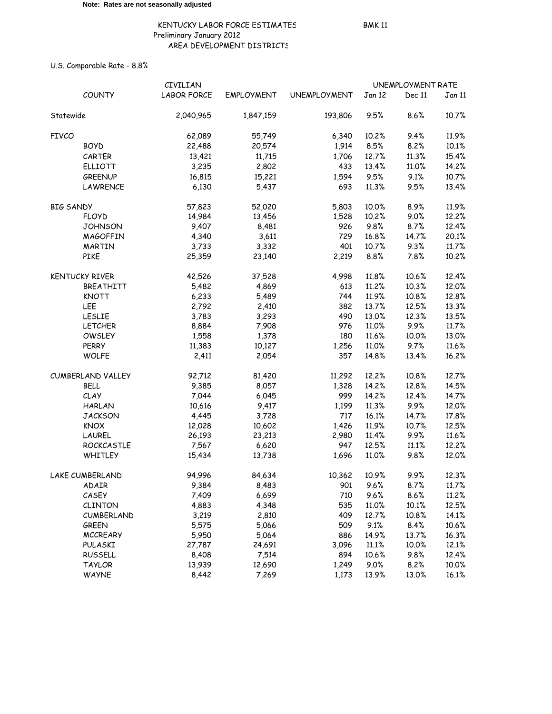U.S. Comparable Rate - 8.8%

|                  |                       | CIVILIAN           |                   |                     | UNEMPLOYMENT RATE |        |        |
|------------------|-----------------------|--------------------|-------------------|---------------------|-------------------|--------|--------|
|                  | <b>COUNTY</b>         | <b>LABOR FORCE</b> | <b>EMPLOYMENT</b> | <b>UNEMPLOYMENT</b> | Jan 12            | Dec 11 | Jan 11 |
| Statewide        |                       | 2,040,965          | 1,847,159         | 193,806             | 9.5%              | 8.6%   | 10.7%  |
| <b>FIVCO</b>     |                       | 62,089             | 55,749            | 6,340               | 10.2%             | 9.4%   | 11.9%  |
|                  | <b>BOYD</b>           | 22,488             | 20,574            | 1,914               | 8.5%              | 8.2%   | 10.1%  |
|                  | CARTER                | 13,421             | 11,715            | 1,706               | 12.7%             | 11.3%  | 15.4%  |
|                  | <b>ELLIOTT</b>        | 3,235              | 2,802             | 433                 | 13.4%             | 11.0%  | 14.2%  |
|                  | <b>GREENUP</b>        | 16,815             | 15,221            | 1,594               | 9.5%              | 9.1%   | 10.7%  |
|                  | LAWRENCE              | 6,130              | 5,437             | 693                 | 11.3%             | 9.5%   | 13.4%  |
| <b>BIG SANDY</b> |                       | 57,823             | 52,020            | 5,803               | 10.0%             | 8.9%   | 11.9%  |
|                  | <b>FLOYD</b>          | 14,984             | 13,456            | 1,528               | 10.2%             | 9.0%   | 12.2%  |
|                  | <b>JOHNSON</b>        | 9,407              | 8,481             | 926                 | 9.8%              | 8.7%   | 12.4%  |
|                  | <b>MAGOFFIN</b>       | 4,340              | 3,611             | 729                 | 16.8%             | 14.7%  | 20.1%  |
|                  | MARTIN                | 3,733              | 3,332             | 401                 | 10.7%             | 9.3%   | 11.7%  |
|                  | PIKE                  | 25,359             | 23,140            | 2,219               | 8.8%              | 7.8%   | 10.2%  |
|                  | <b>KENTUCKY RIVER</b> | 42,526             | 37,528            | 4,998               | 11.8%             | 10.6%  | 12.4%  |
|                  | BREATHITT             | 5,482              | 4,869             | 613                 | 11.2%             | 10.3%  | 12.0%  |
|                  | <b>KNOTT</b>          | 6,233              | 5,489             | 744                 | 11.9%             | 10.8%  | 12.8%  |
|                  | LEE                   | 2,792              | 2,410             | 382                 | 13.7%             | 12.5%  | 13.3%  |
|                  | <b>LESLIE</b>         | 3,783              | 3,293             | 490                 | 13.0%             | 12.3%  | 13.5%  |
|                  | <b>LETCHER</b>        | 8,884              | 7,908             | 976                 | 11.0%             | 9.9%   | 11.7%  |
|                  | <b>OWSLEY</b>         | 1,558              | 1,378             | 180                 | 11.6%             | 10.0%  | 13.0%  |
|                  | <b>PERRY</b>          | 11,383             | 10,127            | 1,256               | 11.0%             | 9.7%   | 11.6%  |
|                  | <b>WOLFE</b>          | 2,411              | 2,054             | 357                 | 14.8%             | 13.4%  | 16.2%  |
|                  | CUMBERLAND VALLEY     | 92,712             | 81,420            | 11,292              | 12.2%             | 10.8%  | 12.7%  |
|                  | BELL                  | 9,385              | 8,057             | 1,328               | 14.2%             | 12.8%  | 14.5%  |
|                  | CLAY                  | 7,044              | 6,045             | 999                 | 14.2%             | 12.4%  | 14.7%  |
|                  | <b>HARLAN</b>         | 10,616             | 9,417             | 1,199               | 11.3%             | 9.9%   | 12.0%  |
|                  | <b>JACKSON</b>        | 4,445              | 3,728             | 717                 | 16.1%             | 14.7%  | 17.8%  |
|                  | <b>KNOX</b>           | 12,028             | 10,602            | 1,426               | 11.9%             | 10.7%  | 12.5%  |
|                  | LAUREL                | 26,193             | 23,213            | 2,980               | 11.4%             | 9.9%   | 11.6%  |
|                  | ROCKCASTLE            | 7,567              | 6,620             | 947                 | 12.5%             | 11.1%  | 12.2%  |
|                  | WHITLEY               | 15,434             | 13,738            | 1,696               | 11.0%             | 9.8%   | 12.0%  |
|                  | LAKE CUMBERLAND       | 94,996             | 84,634            | 10,362              | 10.9%             | 9.9%   | 12.3%  |
|                  | ADAIR                 | 9,384              | 8,483             | 901                 | 9.6%              | 8.7%   | 11.7%  |
|                  | CASEY                 | 7,409              | 6,699             | 710                 | 9.6%              | 8.6%   | 11.2%  |
|                  | <b>CLINTON</b>        | 4,883              | 4,348             | 535                 | 11.0%             | 10.1%  | 12.5%  |
|                  | CUMBERLAND            | 3,219              | 2,810             | 409                 | 12.7%             | 10.8%  | 14.1%  |
|                  | <b>GREEN</b>          | 5,575              | 5,066             | 509                 | 9.1%              | 8.4%   | 10.6%  |
|                  | <b>MCCREARY</b>       | 5,950              | 5,064             | 886                 | 14.9%             | 13.7%  | 16.3%  |
|                  | PULASKI               | 27,787             | 24,691            | 3,096               | 11.1%             | 10.0%  | 12.1%  |
|                  | <b>RUSSELL</b>        | 8,408              | 7,514             | 894                 | 10.6%             | 9.8%   | 12.4%  |
|                  | <b>TAYLOR</b>         | 13,939             | 12,690            | 1,249               | 9.0%              | 8.2%   | 10.0%  |
|                  | <b>WAYNE</b>          | 8,442              | 7,269             | 1,173               | 13.9%             | 13.0%  | 16.1%  |